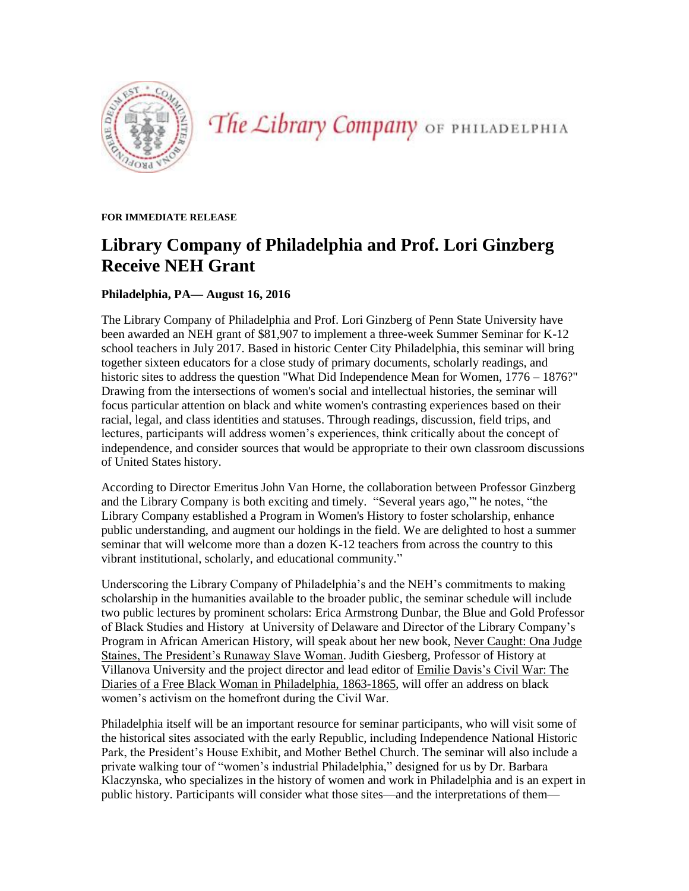

The Library Company OF PHILADELPHIA

**FOR IMMEDIATE RELEASE** 

# **Library Company of Philadelphia and Prof. Lori Ginzberg Receive NEH Grant**

## **Philadelphia, PA— August 16, 2016**

The Library Company of Philadelphia and Prof. Lori Ginzberg of Penn State University have been awarded an NEH grant of \$81,907 to implement a three-week Summer Seminar for K-12 school teachers in July 2017. Based in historic Center City Philadelphia, this seminar will bring together sixteen educators for a close study of primary documents, scholarly readings, and historic sites to address the question "What Did Independence Mean for Women, 1776 – 1876?" Drawing from the intersections of women's social and intellectual histories, the seminar will focus particular attention on black and white women's contrasting experiences based on their racial, legal, and class identities and statuses. Through readings, discussion, field trips, and lectures, participants will address women's experiences, think critically about the concept of independence, and consider sources that would be appropriate to their own classroom discussions of United States history.

According to Director Emeritus John Van Horne, the collaboration between Professor Ginzberg and the Library Company is both exciting and timely. "Several years ago,"' he notes, "the Library Company established a Program in Women's History to foster scholarship, enhance public understanding, and augment our holdings in the field. We are delighted to host a summer seminar that will welcome more than a dozen K-12 teachers from across the country to this vibrant institutional, scholarly, and educational community."

Underscoring the Library Company of Philadelphia's and the NEH's commitments to making scholarship in the humanities available to the broader public, the seminar schedule will include two public lectures by prominent scholars: Erica Armstrong Dunbar, the Blue and Gold Professor of Black Studies and History at University of Delaware and Director of the Library Company's Program in African American History, will speak about her new book, Never Caught: Ona Judge Staines, The President's Runaway Slave Woman. Judith Giesberg, Professor of History at Villanova University and the project director and lead editor of Emilie Davis's Civil War: The Diaries of a Free Black Woman in Philadelphia, 1863-1865, will offer an address on black women's activism on the homefront during the Civil War.

Philadelphia itself will be an important resource for seminar participants, who will visit some of the historical sites associated with the early Republic, including Independence National Historic Park, the President's House Exhibit, and Mother Bethel Church. The seminar will also include a private walking tour of "women's industrial Philadelphia," designed for us by Dr. Barbara Klaczynska, who specializes in the history of women and work in Philadelphia and is an expert in public history. Participants will consider what those sites—and the interpretations of them